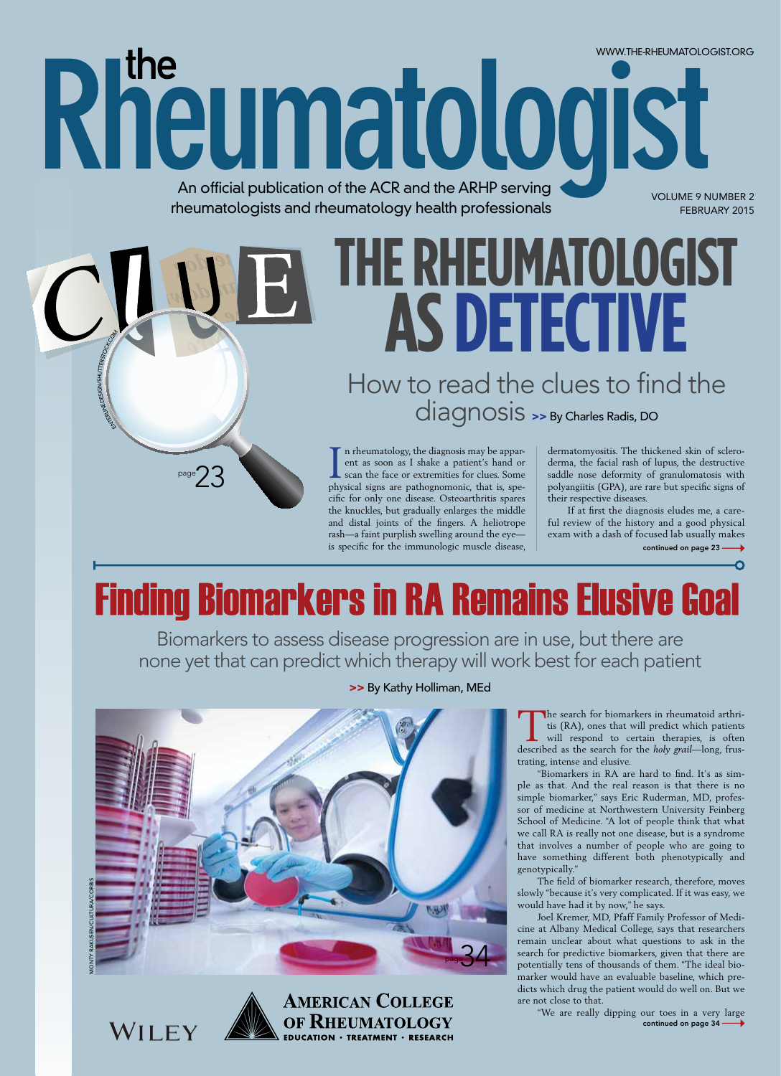An official publication of the ACR and the ARHP serving rheumatologists and rheumatology health professionals

Rheumatologist

THE RHEUMATOLOGIST AS DETECTIVE

How to read the clues to find the diagnosis >> By Charles Radis, DO

n rheumatology, the diagnosis may be apparent as soon as I shake a patient's hand or scan the face or extremities for clues. Some physical signs are pathognomonic, that is, specific for only one disease. Osteoarthritis spares the knuckles, but gradually enlarges the middle and distal joints of the fingers. A heliotrope rash-a faint purplish swelling around the eyeis specific for the immunologic muscle disease,

dermatomyositis. The thickened skin of scleroderma, the facial rash of lupus, the destructive saddle nose deformity of granulomatosis with polyangiitis (GPA), are rare but specific signs of their respective diseases.

WWW.THE-RHEUMATOLOGIST.ORG

**VOLUME 9 NUMBER 2** 

FEBRUARY 2015

If at first the diagnosis eludes me, a careful review of the history and a good physical exam with a dash of focused lab usually makes continued on page 23 -

# **Finding Biomarkers in RA Remains Elusive Goal**

Biomarkers to assess disease progression are in use, but there are none yet that can predict which therapy will work best for each patient



**AMERICAN COLLEGE** 

OF RHEUMATOLOGY

**EDUCATION · TREATMENT · RESEARCH** 

:DESIGN/SHUTTERST

page  $\bigvee$ 

WILEY

>> By Kathy Holliman, MEd

The search for biomarkers in rheumatoid arthritis (RA), ones that will predict which patients will respond to certain therapies, is often described as the search for the *holy grail*—long, frustrating, intense and elusive.

"Biomarkers in RA are hard to find. It's as simple as that. And the real reason is that there is no simple biomarker," says Eric Ruderman, MD, professor of medicine at Northwestern University Feinberg School of Medicine. "A lot of people think that what we call RA is really not one disease, but is a syndrome that involves a number of people who are going to have something different both phenotypically and genotypically."

The field of biomarker research, therefore, moves slowly "because it's very complicated. If it was easy, we would have had it by now," he says.

Joel Kremer, MD, Pfaff Family Professor of Medicine at Albany Medical College, says that researchers remain unclear about what questions to ask in the search for predictive biomarkers, given that there are potentially tens of thousands of them. "The ideal biomarker would have an evaluable baseline, which predicts which drug the patient would do well on. But we are not close to that.

"We are really dipping our toes in a very large continued on page 34 -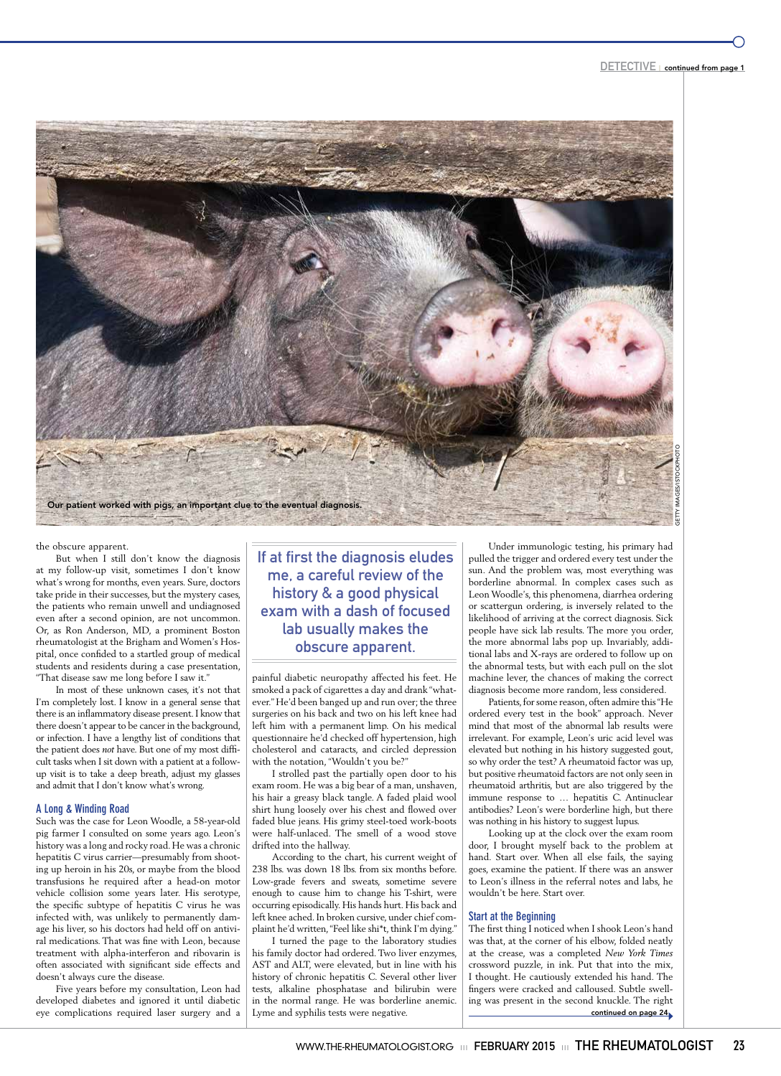

### the obscure apparent.

But when I still don't know the diagnosis at my follow-up visit, sometimes I don't know what's wrong for months, even years. Sure, doctors take pride in their successes, but the mystery cases, the patients who remain unwell and undiagnosed even after a second opinion, are not uncommon. Or, as Ron Anderson, MD, a prominent Boston rheumatologist at the Brigham and Women's Hospital, once confided to a startled group of medical students and residents during a case presentation, "That disease saw me long before I saw it."

In most of these unknown cases, it's not that I'm completely lost. I know in a general sense that there is an inflammatory disease present. I know that there doesn't appear to be cancer in the background, or infection. I have a lengthy list of conditions that the patient does *not* have. But one of my most difficult tasks when I sit down with a patient at a followup visit is to take a deep breath, adjust my glasses and admit that I don't know what's wrong.

### **A Long & Winding Road**

Such was the case for Leon Woodle, a 58-year-old pig farmer I consulted on some years ago. Leon's history was a long and rocky road. He was a chronic hepatitis C virus carrier—presumably from shooting up heroin in his 20s, or maybe from the blood transfusions he required after a head-on motor vehicle collision some years later. His serotype, the specific subtype of hepatitis C virus he was infected with, was unlikely to permanently damage his liver, so his doctors had held off on antiviral medications. That was fine with Leon, because treatment with alpha-interferon and ribovarin is often associated with significant side effects and doesn't always cure the disease.

Five years before my consultation, Leon had developed diabetes and ignored it until diabetic eye complications required laser surgery and a

If at first the diagnosis eludes me, a careful review of the history & a good physical exam with a dash of focused lab usually makes the obscure apparent.

painful diabetic neuropathy affected his feet. He smoked a pack of cigarettes a day and drank "whatever." He'd been banged up and run over; the three surgeries on his back and two on his left knee had left him with a permanent limp. On his medical questionnaire he'd checked off hypertension, high cholesterol and cataracts, and circled depression with the notation, "Wouldn't you be?"

I strolled past the partially open door to his exam room. He was a big bear of a man, unshaven, his hair a greasy black tangle. A faded plaid wool shirt hung loosely over his chest and flowed over faded blue jeans. His grimy steel-toed work-boots were half-unlaced. The smell of a wood stove drifted into the hallway.

According to the chart, his current weight of 238 lbs. was down 18 lbs. from six months before. Low-grade fevers and sweats, sometime severe enough to cause him to change his T-shirt, were occurring episodically. His hands hurt. His back and left knee ached. In broken cursive, under chief complaint he'd written, "Feel like shi\*t, think I'm dying."

I turned the page to the laboratory studies his family doctor had ordered. Two liver enzymes, AST and ALT, were elevated, but in line with his history of chronic hepatitis C. Several other liver tests, alkaline phosphatase and bilirubin were in the normal range. He was borderline anemic. Lyme and syphilis tests were negative.

Under immunologic testing, his primary had pulled the trigger and ordered every test under the sun. And the problem was, most everything was borderline abnormal. In complex cases such as Leon Woodle's, this phenomena, diarrhea ordering or scattergun ordering, is inversely related to the likelihood of arriving at the correct diagnosis. Sick people have sick lab results. The more you order, the more abnormal labs pop up. Invariably, additional labs and X-rays are ordered to follow up on the abnormal tests, but with each pull on the slot machine lever, the chances of making the correct diagnosis become more random, less considered.

Patients, for some reason, often admire this "He ordered every test in the book" approach. Never mind that most of the abnormal lab results were irrelevant. For example, Leon's uric acid level was elevated but nothing in his history suggested gout, so why order the test? A rheumatoid factor was up, but positive rheumatoid factors are not only seen in rheumatoid arthritis, but are also triggered by the immune response to … hepatitis C. Antinuclear antibodies? Leon's were borderline high, but there was nothing in his history to suggest lupus.

Looking up at the clock over the exam room door, I brought myself back to the problem at hand. Start over. When all else fails, the saying goes, examine the patient. If there was an answer to Leon's illness in the referral notes and labs, he wouldn't be here. Start over.

### **Start at the Beginning**

The first thing I noticed when I shook Leon's hand was that, at the corner of his elbow, folded neatly at the crease, was a completed *New York Times* crossword puzzle, in ink. Put that into the mix, I thought. He cautiously extended his hand. The fingers were cracked and calloused. Subtle swelling was present in the second knuckle. The right continued on page 24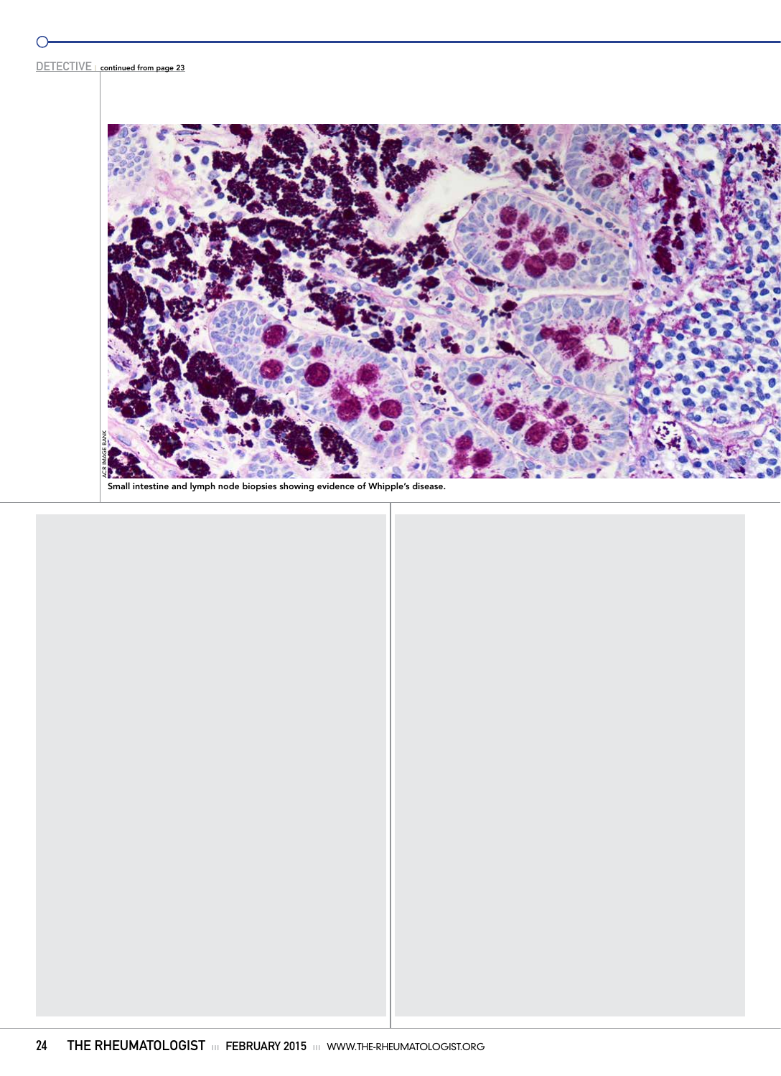$\bigcirc$ 



Small intestine and lymph node biopsies showing evidence of Whipple's disease.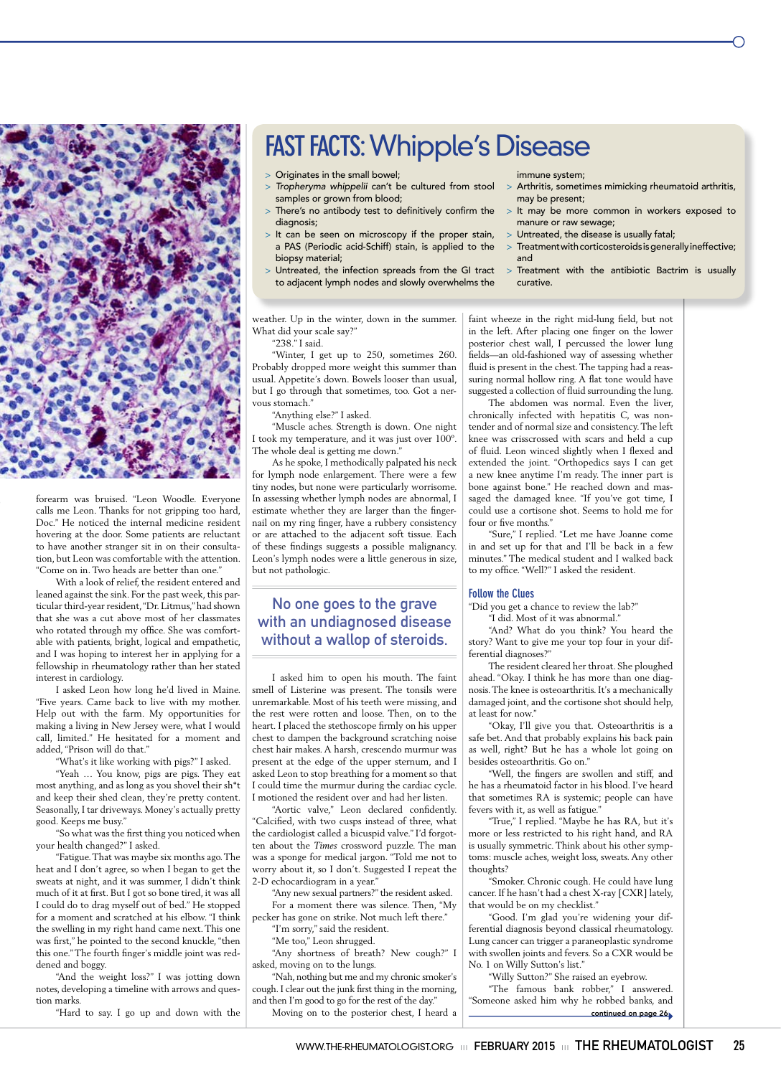

forearm was bruised. "Leon Woodle. Everyone calls me Leon. Thanks for not gripping too hard, Doc." He noticed the internal medicine resident hovering at the door. Some patients are reluctant to have another stranger sit in on their consultation, but Leon was comfortable with the attention. "Come on in. Two heads are better than one."

With a look of relief, the resident entered and leaned against the sink. For the past week, this particular third-year resident, "Dr. Litmus," had shown that she was a cut above most of her classmates who rotated through my office. She was comfortable with patients, bright, logical and empathetic, and I was hoping to interest her in applying for a fellowship in rheumatology rather than her stated interest in cardiology.

I asked Leon how long he'd lived in Maine. "Five years. Came back to live with my mother. Help out with the farm. My opportunities for making a living in New Jersey were, what I would call, limited." He hesitated for a moment and added, "Prison will do that."

"What's it like working with pigs?" I asked.

"Yeah ... You know, pigs are pigs. They eat most anything, and as long as you shovel their sh\*t and keep their shed clean, they're pretty content. Seasonally, I tar driveways. Money's actually pretty good. Keeps me busy."

"So what was the first thing you noticed when your health changed?" I asked.

"Fatigue. That was maybe six months ago. The heat and I don't agree, so when I began to get the sweats at night, and it was summer, I didn't think much of it at first. But I got so bone tired, it was all I could do to drag myself out of bed." He stopped for a moment and scratched at his elbow. "I think the swelling in my right hand came next. This one was first," he pointed to the second knuckle, "then this one." The fourth finger's middle joint was reddened and boggy.

"And the weight loss?" I was jotting down notes, developing a timeline with arrows and question marks.

"Hard to say. I go up and down with the

## **FAST FACTS: Whipple's Disease**

- > Originates in the small bowel;
- > Tropheryma whippelii can't be cultured from stool samples or grown from blood;
- > There's no antibody test to definitively confirm the diagnosis;
- > It can be seen on microscopy if the proper stain, a PAS (Periodic acid-Schiff) stain, is applied to the biopsy material;
- > Untreated, the infection spreads from the GI tract to adjacent lymph nodes and slowly overwhelms the

weather. Up in the winter, down in the summer. What did your scale say?" "238." I said.

"Winter, I get up to 250, sometimes 260. Probably dropped more weight this summer than usual. Appetite's down. Bowels looser than usual, but I go through that sometimes, too. Got a nervous stomach."

"Anything else?" I asked.

"Muscle aches. Strength is down. One night I took my temperature, and it was just over 100°. The whole deal is getting me down."

As he spoke, I methodically palpated his neck for lymph node enlargement. There were a few tiny nodes, but none were particularly worrisome. In assessing whether lymph nodes are abnormal, I estimate whether they are larger than the fingernail on my ring finger, have a rubbery consistency or are attached to the adjacent soft tissue. Each of these findings suggests a possible malignancy. Leon's lymph nodes were a little generous in size, but not pathologic.

### No one goes to the grave with an undiagnosed disease without a wallop of steroids.

I asked him to open his mouth. The faint smell of Listerine was present. The tonsils were unremarkable. Most of his teeth were missing, and the rest were rotten and loose. Then, on to the heart. I placed the stethoscope firmly on his upper chest to dampen the background scratching noise chest hair makes. A harsh, crescendo murmur was present at the edge of the upper sternum, and I asked Leon to stop breathing for a moment so that I could time the murmur during the cardiac cycle. I motioned the resident over and had her listen.

"Aortic valve," Leon declared confidently. "Calcified, with two cusps instead of three, what the cardiologist called a bicuspid valve." I'd forgotten about the Times crossword puzzle. The man was a sponge for medical jargon. "Told me not to worry about it, so I don't. Suggested I repeat the 2-D echocardiogram in a year."

"Any new sexual partners?" the resident asked For a moment there was silence. Then, "My pecker has gone on strike. Not much left there."

"I'm sorry," said the resident.

"Me too," Leon shrugged.

"Any shortness of breath? New cough?" I asked, moving on to the lungs.

"Nah, nothing but me and my chronic smoker's cough. I clear out the junk first thing in the morning, and then I'm good to go for the rest of the day."

Moving on to the posterior chest, I heard a

immune system;

- > Arthritis, sometimes mimicking rheumatoid arthritis, may be present;
- > It may be more common in workers exposed to manure or raw sewage;
- > Untreated, the disease is usually fatal;
- > Treatment with corticosteroids is generally ineffective; and
- > Treatment with the antibiotic Bactrim is usually curative.

faint wheeze in the right mid-lung field, but not in the left. After placing one finger on the lower posterior chest wall, I percussed the lower lung fields-an old-fashioned way of assessing whether fluid is present in the chest. The tapping had a reassuring normal hollow ring. A flat tone would have suggested a collection of fluid surrounding the lung. The abdomen was normal. Even the liver,

chronically infected with hepatitis C, was nontender and of normal size and consistency. The left knee was crisscrossed with scars and held a cup of fluid. Leon winced slightly when I flexed and extended the joint. "Orthopedics says I can get a new knee anytime I'm ready. The inner part is bone against bone." He reached down and massaged the damaged knee. "If you've got time, I could use a cortisone shot. Seems to hold me for four or five months."

"Sure," I replied. "Let me have Joanne come in and set up for that and I'll be back in a few minutes." The medical student and I walked back to my office. "Well?" I asked the resident.

### **Follow the Clues**

"Did you get a chance to review the lab?" "I did. Most of it was abnormal."

"And? What do you think? You heard the story? Want to give me your top four in your differential diagnoses?"

The resident cleared her throat. She ploughed ahead. "Okay. I think he has more than one diagnosis. The knee is osteoarthritis. It's a mechanically damaged joint, and the cortisone shot should help, at least for now."

"Okay, I'll give you that. Osteoarthritis is a safe bet. And that probably explains his back pain as well, right? But he has a whole lot going on besides osteoarthritis. Go on."

"Well, the fingers are swollen and stiff, and he has a rheumatoid factor in his blood. I've heard that sometimes RA is systemic; people can have fevers with it, as well as fatigue."

"True," I replied. "Maybe he has RA, but it's more or less restricted to his right hand, and RA is usually symmetric. Think about his other symptoms: muscle aches, weight loss, sweats. Any other thoughts?

"Smoker. Chronic cough. He could have lung er. If he hasn't had a chest X-ray [CXR] lately, that would be on my checklist."

"Good. I'm glad you're widening your differential diagnosis beyond classical rheumatology. Lung cancer can trigger a paraneoplastic syndrome with swollen joints and fevers. So a CXR would be No. 1 on Willy Sutton's list."

"Willy Sutton?" She raised an eyebrow.

"The famous bank robber," I answered. "Someone asked him why he robbed banks, and continued on page 26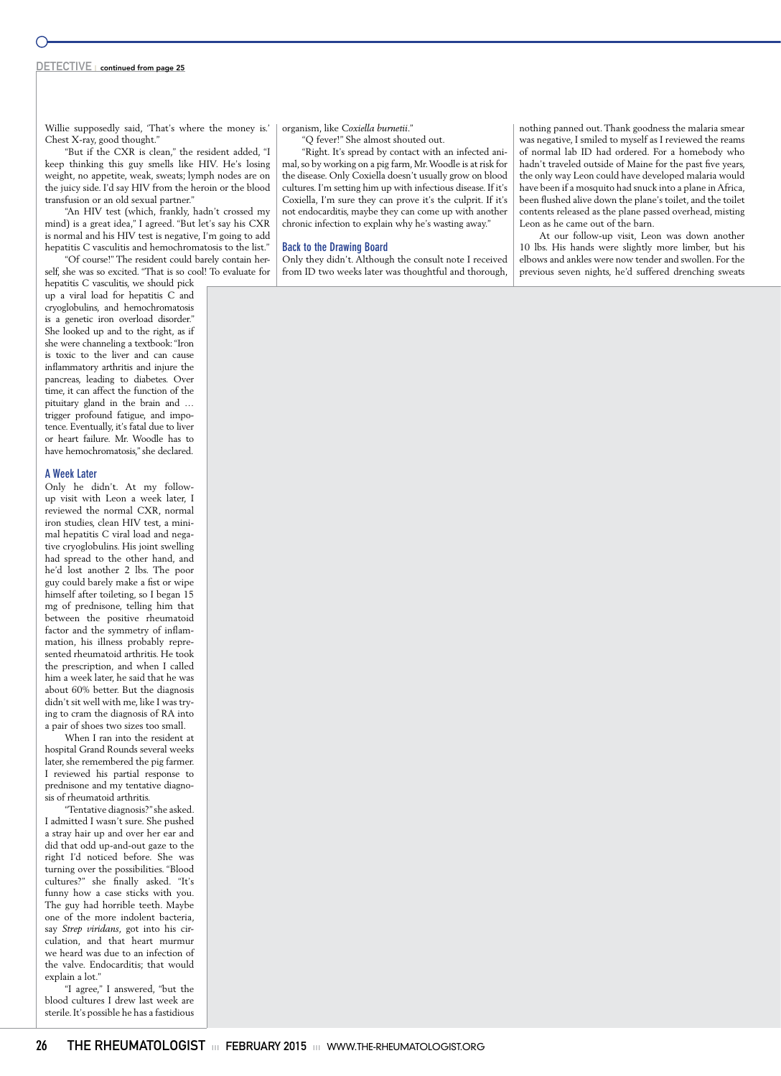### DETECTIVE | continued from page 25

Willie supposedly said, 'That's where the money is.' Chest X-ray, good thought."

"But if the CXR is clean," the resident added, "I keep thinking this guy smells like HIV. He's losing weight, no appetite, weak, sweats; lymph nodes are on the juicy side. I'd say HIV from the heroin or the blood transfusion or an old sexual partner."

"An HIV test (which, frankly, hadn't crossed my mind) is a great idea," I agreed. "But let's say his CXR is normal and his HIV test is negative, I'm going to add hepatitis C vasculitis and hemochromatosis to the list."

"Of course!" The resident could barely contain herself, she was so excited. "That is so cool! To evaluate for

hepatitis C vasculitis, we should pick up a viral load for hepatitis C and cryoglobulins, and hemochromatosis is a genetic iron overload disorder." She looked up and to the right, as if she were channeling a textbook: "Iron is toxic to the liver and can cause inflammatory arthritis and injure the pancreas, leading to diabetes. Over time, it can affect the function of the pituitary gland in the brain and … trigger profound fatigue, and impotence. Eventually, it's fatal due to liver or heart failure. Mr. Woodle has to have hemochromatosis," she declared.

### **A Week Later**

Only he didn't. At my followup visit with Leon a week later, I reviewed the normal CXR, normal iron studies, clean HIV test, a minimal hepatitis C viral load and negative cryoglobulins. His joint swelling had spread to the other hand, and he'd lost another 2 lbs. The poor guy could barely make a fist or wipe himself after toileting, so I began 15 mg of prednisone, telling him that between the positive rheumatoid factor and the symmetry of inflammation, his illness probably represented rheumatoid arthritis. He took the prescription, and when I called him a week later, he said that he was about 60% better. But the diagnosis didn't sit well with me, like I was trying to cram the diagnosis of RA into a pair of shoes two sizes too small.

When I ran into the resident at hospital Grand Rounds several weeks later, she remembered the pig farmer. I reviewed his partial response to prednisone and my tentative diagnosis of rheumatoid arthritis.

"Tentative diagnosis?" she asked. I admitted I wasn't sure. She pushed a stray hair up and over her ear and did that odd up-and-out gaze to the right I'd noticed before. She was turning over the possibilities. "Blood cultures?" she finally asked. "It's funny how a case sticks with you. The guy had horrible teeth. Maybe one of the more indolent bacteria, say *Strep viridans*, got into his circulation, and that heart murmur we heard was due to an infection of the valve. Endocarditis; that would explain a lot."

"I agree," I answered, "but the blood cultures I drew last week are sterile. It's possible he has a fastidious organism, like *Coxiella burnetii*."

"Q fever!" She almost shouted out.

"Right. It's spread by contact with an infected animal, so by working on a pig farm, Mr. Woodle is at risk for the disease. Only Coxiella doesn't usually grow on blood cultures. I'm setting him up with infectious disease. If it's Coxiella, I'm sure they can prove it's the culprit. If it's not endocarditis, maybe they can come up with another chronic infection to explain why he's wasting away."

### **Back to the Drawing Board**

Only they didn't. Although the consult note I received from ID two weeks later was thoughtful and thorough,

nothing panned out. Thank goodness the malaria smear was negative, I smiled to myself as I reviewed the reams of normal lab ID had ordered. For a homebody who hadn't traveled outside of Maine for the past five years, the only way Leon could have developed malaria would have been if a mosquito had snuck into a plane in Africa, been flushed alive down the plane's toilet, and the toilet contents released as the plane passed overhead, misting Leon as he came out of the barn.

At our follow-up visit, Leon was down another 10 lbs. His hands were slightly more limber, but his elbows and ankles were now tender and swollen. For the previous seven nights, he'd suffered drenching sweats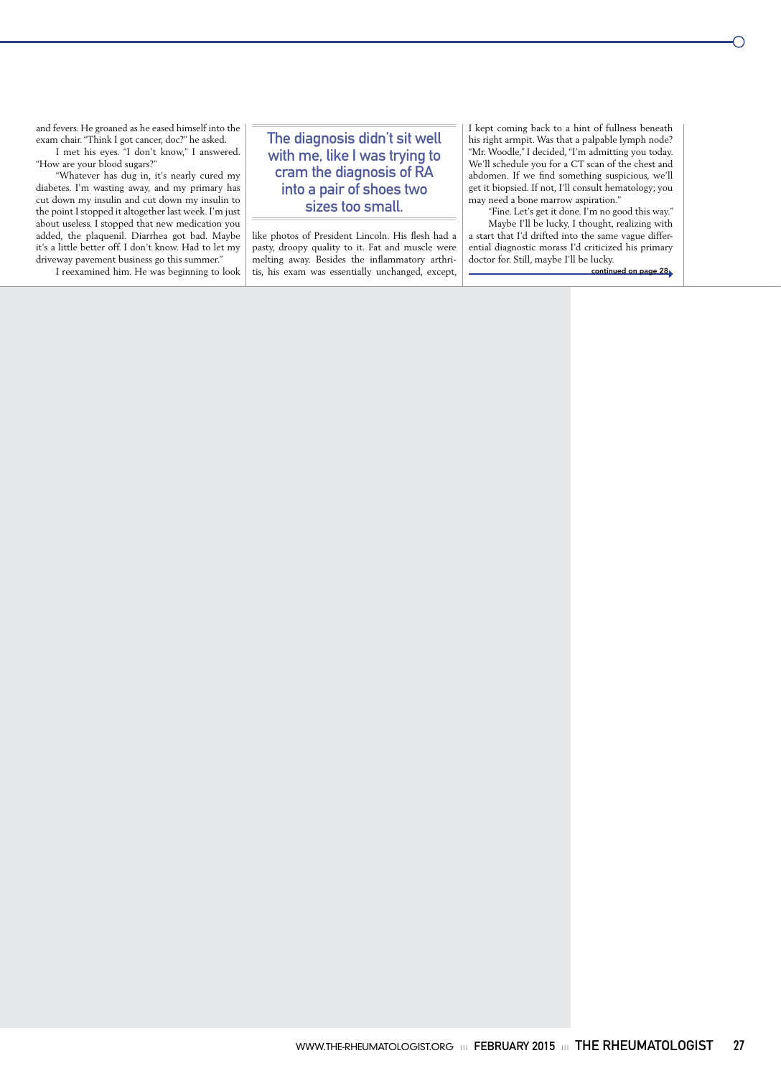and fevers. He groaned as he eased himself into the exam chair. "Think I got cancer, doc?" he asked.

I met his eyes. "I don't know," I answered. "How are your blood sugars?"

"Whatever has dug in, it's nearly cured my diabetes. I'm wasting away, and my primary has cut down my insulin and cut down my insulin to the point I stopped it altogether last week. I'm just about useless. I stopped that new medication you added, the plaquenil. Diarrhea got bad. Maybe it's a little better off. I don't know. Had to let my driveway pavement business go this summer."

I reexamined him. He was beginning to look

### The diagnosis didn't sit well with me, like I was trying to cram the diagnosis of RA into a pair of shoes two sizes too small.

like photos of President Lincoln. His flesh had a pasty, droopy quality to it. Fat and muscle were melting away. Besides the inflammatory arthritis, his exam was essentially unchanged, except, I kept coming back to a hint of fullness beneath his right armpit. Was that a palpable lymph node? "Mr. Woodle," I decided, "I'm admitting you today. We'll schedule you for a CT scan of the chest and abdomen. If we find something suspicious, we'll get it biopsied. If not, I'll consult hematology; you may need a bone marrow aspiration."

"Fine. Let's get it done. I'm no good this way." Maybe I'll be lucky, I thought, realizing with a start that I'd drifted into the same vague differential diagnostic morass I'd criticized his primary doctor for. Still, maybe I'll be lucky.

continued on page 28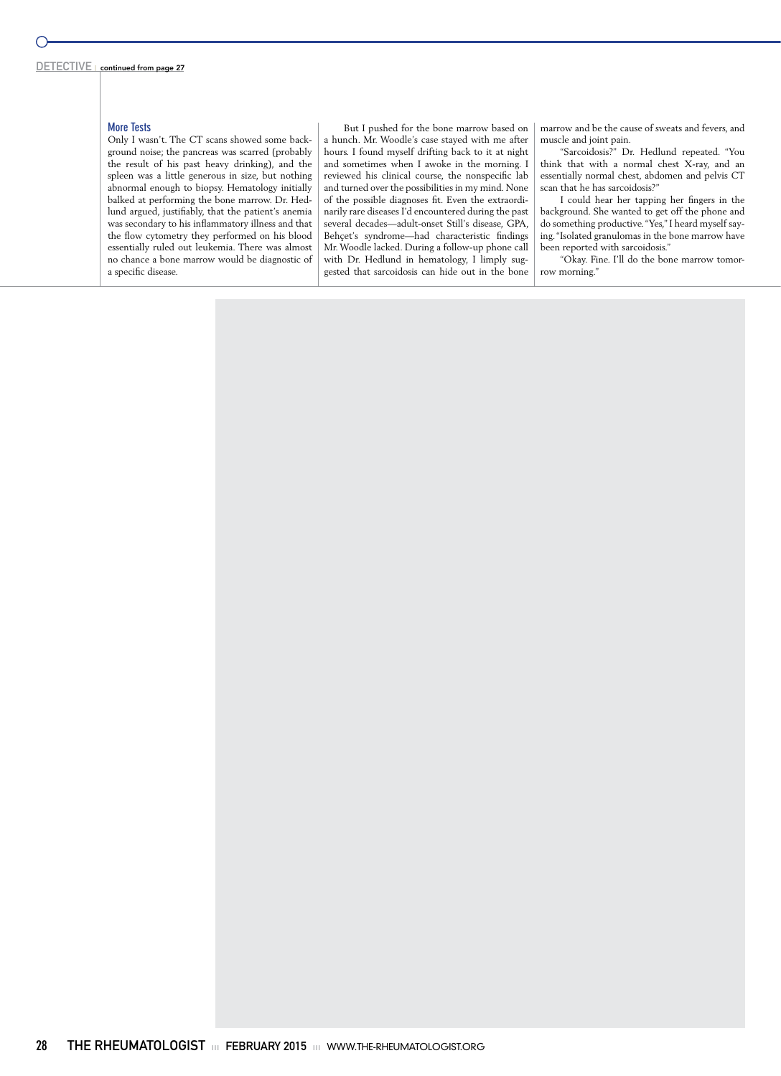### **More Tests**

Only I wasn't. The CT scans showed some background noise; the pancreas was scarred (probably the result of his past heavy drinking), and the spleen was a little generous in size, but nothing abnormal enough to biopsy. Hematology initially balked at performing the bone marrow. Dr. Hedlund argued, justifiably, that the patient's anemia was secondary to his inflammatory illness and that the flow cytometry they performed on his blood essentially ruled out leukemia. There was almost no chance a bone marrow would be diagnostic of a specific disease.

But I pushed for the bone marrow based on a hunch. Mr. Woodle's case stayed with me after hours. I found myself drifting back to it at night and sometimes when I awoke in the morning. I reviewed his clinical course, the nonspecific lab and turned over the possibilities in my mind. None of the possible diagnoses fit. Even the extraordinarily rare diseases I'd encountered during the past several decades—adult-onset Still's disease, GPA, Behçet's syndrome—had characteristic findings Mr. Woodle lacked. During a follow-up phone call with Dr. Hedlund in hematology, I limply suggested that sarcoidosis can hide out in the bone

marrow and be the cause of sweats and fevers, and muscle and joint pain.

"Sarcoidosis?" Dr. Hedlund repeated. "You think that with a normal chest X-ray, and an essentially normal chest, abdomen and pelvis CT scan that he has sarcoidosis?"

I could hear her tapping her fingers in the background. She wanted to get off the phone and do something productive. "Yes," I heard myself saying. "Isolated granulomas in the bone marrow have been reported with sarcoidosis."

"Okay. Fine. I'll do the bone marrow tomorrow morning."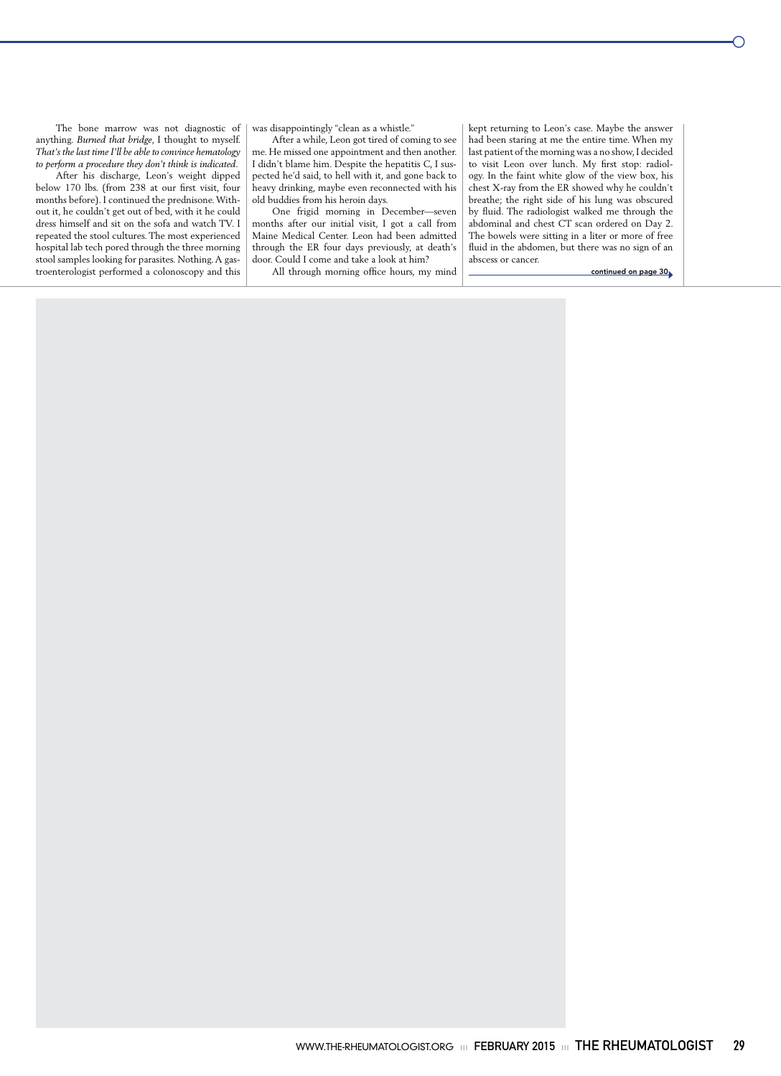The bone marrow was not diagnostic of anything. *Burned that bridge*, I thought to myself. *That's the last time I'll be able to convince hematology to perform a procedure they don't think is indicated*.

After his discharge, Leon's weight dipped below 170 lbs. (from 238 at our first visit, four months before). I continued the prednisone. Without it, he couldn't get out of bed, with it he could dress himself and sit on the sofa and watch TV. I repeated the stool cultures. The most experienced hospital lab tech pored through the three morning stool samples looking for parasites. Nothing. A gastroenterologist performed a colonoscopy and this

was disappointingly "clean as a whistle."

After a while, Leon got tired of coming to see me. He missed one appointment and then another. I didn't blame him. Despite the hepatitis C, I suspected he'd said, to hell with it, and gone back to heavy drinking, maybe even reconnected with his old buddies from his heroin days.

One frigid morning in December—seven months after our initial visit, I got a call from Maine Medical Center. Leon had been admitted through the ER four days previously, at death's door. Could I come and take a look at him?

All through morning office hours, my mind

kept returning to Leon's case. Maybe the answer had been staring at me the entire time. When my last patient of the morning was a no show, I decided to visit Leon over lunch. My first stop: radiology. In the faint white glow of the view box, his chest X-ray from the ER showed why he couldn't breathe; the right side of his lung was obscured by fluid. The radiologist walked me through the abdominal and chest CT scan ordered on Day 2. The bowels were sitting in a liter or more of free fluid in the abdomen, but there was no sign of an abscess or cancer.

continued on page 30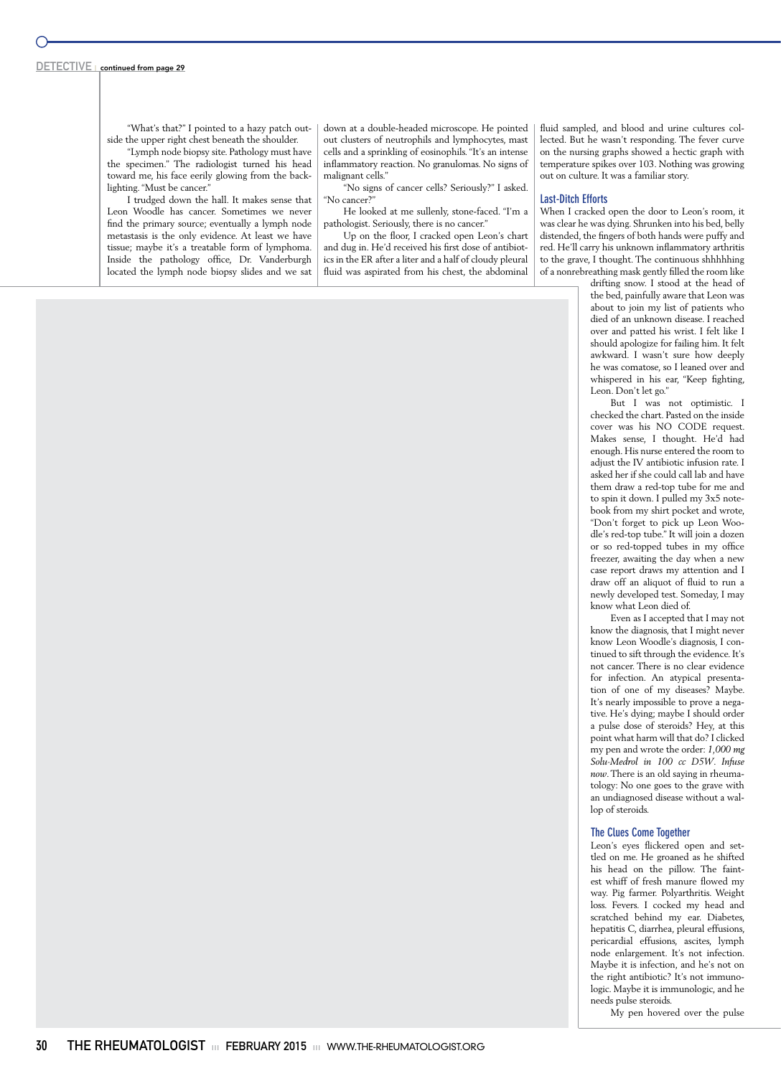"What's that?" I pointed to a hazy patch outside the upper right chest beneath the shoulder.

"Lymph node biopsy site. Pathology must have the specimen." The radiologist turned his head toward me, his face eerily glowing from the backlighting. "Must be cancer."

I trudged down the hall. It makes sense that Leon Woodle has cancer. Sometimes we never find the primary source; eventually a lymph node metastasis is the only evidence. At least we have tissue; maybe it's a treatable form of lymphoma. Inside the pathology office, Dr. Vanderburgh located the lymph node biopsy slides and we sat down at a double-headed microscope. He pointed out clusters of neutrophils and lymphocytes, mast cells and a sprinkling of eosinophils. "It's an intense inflammatory reaction. No granulomas. No signs of malignant cells."

"No signs of cancer cells? Seriously?" I asked. "No cancer?"

He looked at me sullenly, stone-faced. "I'm a pathologist. Seriously, there is no cancer."

Up on the floor, I cracked open Leon's chart and dug in. He'd received his first dose of antibiotics in the ER after a liter and a half of cloudy pleural fluid was aspirated from his chest, the abdominal fluid sampled, and blood and urine cultures collected. But he wasn't responding. The fever curve on the nursing graphs showed a hectic graph with temperature spikes over 103. Nothing was growing out on culture. It was a familiar story.

### **Last-Ditch Efforts**

When I cracked open the door to Leon's room, it was clear he was dying. Shrunken into his bed, belly distended, the fingers of both hands were puffy and red. He'll carry his unknown inflammatory arthritis to the grave, I thought. The continuous shhhhhing of a nonrebreathing mask gently filled the room like

> drifting snow. I stood at the head of the bed, painfully aware that Leon was about to join my list of patients who died of an unknown disease. I reached over and patted his wrist. I felt like I should apologize for failing him. It felt awkward. I wasn't sure how deeply he was comatose, so I leaned over and whispered in his ear, "Keep fighting, Leon. Don't let go."

> But I was not optimistic. I checked the chart. Pasted on the inside cover was his NO CODE request. Makes sense, I thought. He'd had enough. His nurse entered the room to adjust the IV antibiotic infusion rate. I asked her if she could call lab and have them draw a red-top tube for me and to spin it down. I pulled my 3x5 notebook from my shirt pocket and wrote, "Don't forget to pick up Leon Woodle's red-top tube." It will join a dozen or so red-topped tubes in my office freezer, awaiting the day when a new case report draws my attention and I draw off an aliquot of fluid to run a newly developed test. Someday, I may know what Leon died of.

> Even as I accepted that I may not know the diagnosis, that I might never know Leon Woodle's diagnosis, I continued to sift through the evidence. It's not cancer. There is no clear evidence for infection. An atypical presentation of one of my diseases? Maybe. It's nearly impossible to prove a negative. He's dying; maybe I should order a pulse dose of steroids? Hey, at this point what harm will that do? I clicked my pen and wrote the order: *1,000 mg Solu-Medrol in 100 cc D5W*. *Infuse now*. There is an old saying in rheumatology: No one goes to the grave with an undiagnosed disease without a wallop of steroids.

### **The Clues Come Together**

Leon's eyes flickered open and settled on me. He groaned as he shifted his head on the pillow. The faintest whiff of fresh manure flowed my way. Pig farmer. Polyarthritis. Weight loss. Fevers. I cocked my head and scratched behind my ear. Diabetes, hepatitis C, diarrhea, pleural effusions, pericardial effusions, ascites, lymph node enlargement. It's not infection. Maybe it is infection, and he's not on the right antibiotic? It's not immunologic. Maybe it is immunologic, and he needs pulse steroids.

My pen hovered over the pulse